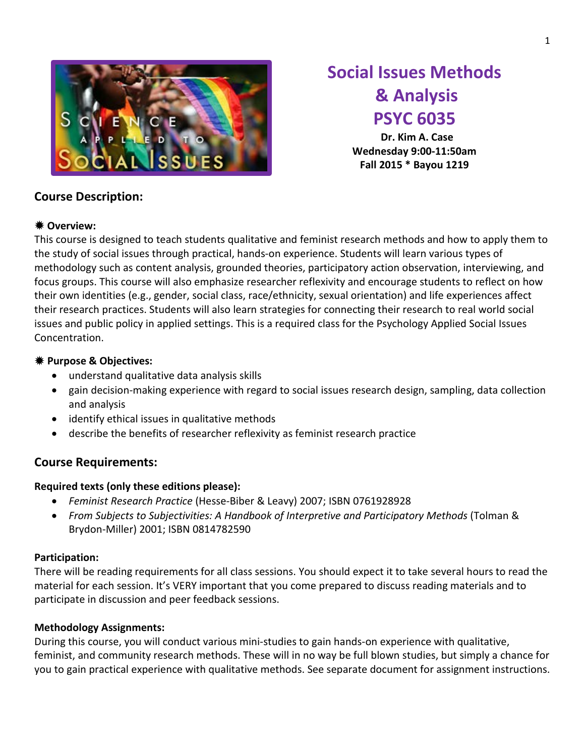

# **Social Issues Methods & Analysis PSYC 6035**

**Dr. Kim A. Case Wednesday 9:00-11:50am Fall 2015 \* Bayou 1219**

### **Course Description:**

### **Overview:**

This course is designed to teach students qualitative and feminist research methods and how to apply them to the study of social issues through practical, hands-on experience. Students will learn various types of methodology such as content analysis, grounded theories, participatory action observation, interviewing, and focus groups. This course will also emphasize researcher reflexivity and encourage students to reflect on how their own identities (e.g., gender, social class, race/ethnicity, sexual orientation) and life experiences affect their research practices. Students will also learn strategies for connecting their research to real world social issues and public policy in applied settings. This is a required class for the Psychology Applied Social Issues Concentration.

### **Purpose & Objectives:**

- understand qualitative data analysis skills
- gain decision-making experience with regard to social issues research design, sampling, data collection and analysis
- identify ethical issues in qualitative methods
- describe the benefits of researcher reflexivity as feminist research practice

### **Course Requirements:**

### **Required texts (only these editions please):**

- *Feminist Research Practice* (Hesse-Biber & Leavy) 2007; ISBN 0761928928
- *From Subjects to Subjectivities: A Handbook of Interpretive and Participatory Methods* (Tolman & Brydon-Miller) 2001; ISBN 0814782590

### **Participation:**

There will be reading requirements for all class sessions. You should expect it to take several hours to read the material for each session. It's VERY important that you come prepared to discuss reading materials and to participate in discussion and peer feedback sessions.

### **Methodology Assignments:**

During this course, you will conduct various mini-studies to gain hands-on experience with qualitative, feminist, and community research methods. These will in no way be full blown studies, but simply a chance for you to gain practical experience with qualitative methods. See separate document for assignment instructions.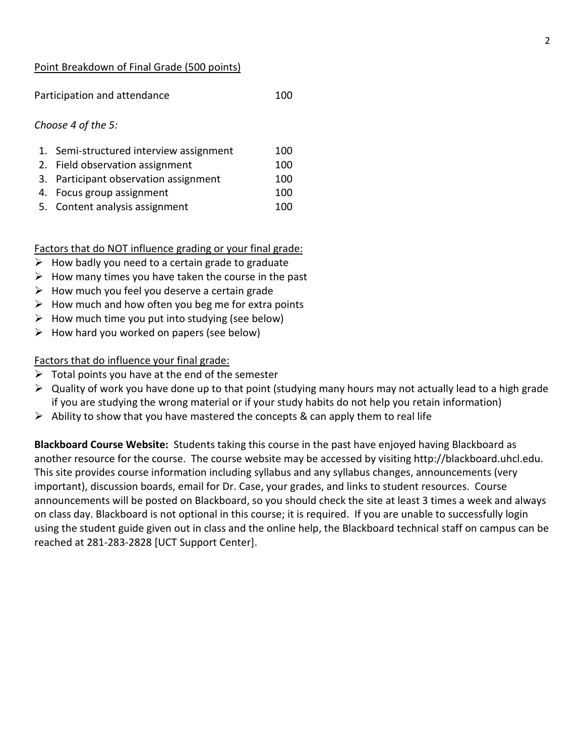#### Point Breakdown of Final Grade (500 points)

Participation and attendance 100

#### *Choose 4 of the 5:*

| 1. Semi-structured interview assignment | 100 |
|-----------------------------------------|-----|
| 2. Field observation assignment         | 100 |
| 3. Participant observation assignment   | 100 |
| 4. Focus group assignment               | 100 |
| 5. Content analysis assignment          | 100 |

Factors that do NOT influence grading or your final grade:

- $\triangleright$  How badly you need to a certain grade to graduate
- $\triangleright$  How many times you have taken the course in the past
- $\triangleright$  How much you feel you deserve a certain grade
- $\triangleright$  How much and how often you beg me for extra points
- $\triangleright$  How much time you put into studying (see below)
- $\triangleright$  How hard you worked on papers (see below)

Factors that do influence your final grade:

- $\triangleright$  Total points you have at the end of the semester
- $\triangleright$  Quality of work you have done up to that point (studying many hours may not actually lead to a high grade if you are studying the wrong material or if your study habits do not help you retain information)
- $\triangleright$  Ability to show that you have mastered the concepts & can apply them to real life

**Blackboard Course Website:** Students taking this course in the past have enjoyed having Blackboard as another resource for the course. The course website may be accessed by visiting [http://blackboard.uhcl.edu.](http://blackboard.uhcl.edu/) This site provides course information including syllabus and any syllabus changes, announcements (very important), discussion boards, email for Dr. Case, your grades, and links to student resources. Course announcements will be posted on Blackboard, so you should check the site at least 3 times a week and always on class day. Blackboard is not optional in this course; it is required. If you are unable to successfully login using the student guide given out in class and the online help, the Blackboard technical staff on campus can be reached at 281-283-2828 [UCT Support Center].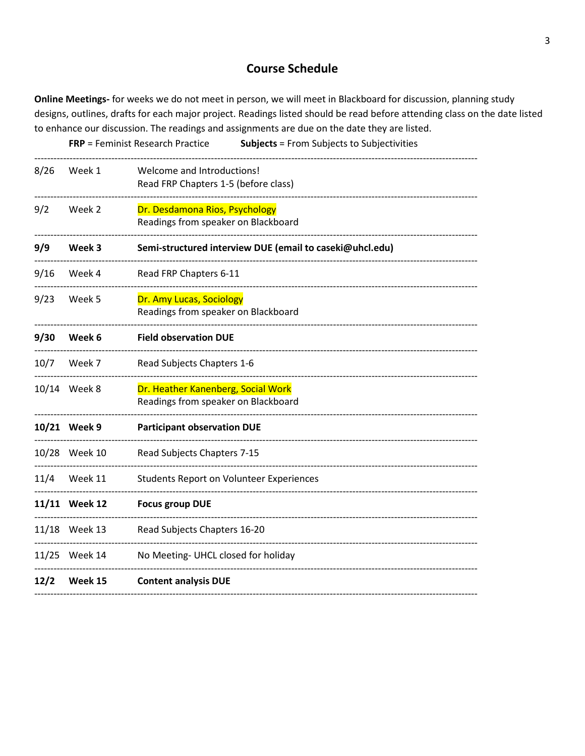### **Course Schedule**

Online Meetings- for weeks we do not meet in person, we will meet in Blackboard for discussion, planning study designs, outlines, drafts for each major project. Readings listed should be read before attending class on the date listed to enhance our discussion. The readings and assignments are due on the date they are listed.

|      |               | <b>FRP</b> = Feminist Research Practice<br><b>Subjects</b> = From Subjects to Subjectivities |
|------|---------------|----------------------------------------------------------------------------------------------|
| 8/26 | Week 1        | Welcome and Introductions!<br>Read FRP Chapters 1-5 (before class)                           |
| 9/2  | Week 2        | Dr. Desdamona Rios, Psychology<br>Readings from speaker on Blackboard                        |
| 9/9  | Week 3        | Semi-structured interview DUE (email to caseki@uhcl.edu)                                     |
| 9/16 | Week 4        | Read FRP Chapters 6-11                                                                       |
| 9/23 | Week 5        | Dr. Amy Lucas, Sociology<br>Readings from speaker on Blackboard                              |
| 9/30 | Week 6        | <b>Field observation DUE</b>                                                                 |
| 10/7 | Week 7        | Read Subjects Chapters 1-6                                                                   |
|      | 10/14 Week 8  | Dr. Heather Kanenberg, Social Work<br>Readings from speaker on Blackboard                    |
|      | 10/21 Week 9  | <b>Participant observation DUE</b>                                                           |
|      | 10/28 Week 10 | Read Subjects Chapters 7-15                                                                  |
| 11/4 | Week 11       | <b>Students Report on Volunteer Experiences</b>                                              |
|      | 11/11 Week 12 | <b>Focus group DUE</b>                                                                       |
|      | 11/18 Week 13 | Read Subjects Chapters 16-20                                                                 |
|      | 11/25 Week 14 | No Meeting- UHCL closed for holiday                                                          |
| 12/2 | Week 15       | <b>Content analysis DUE</b>                                                                  |
|      |               |                                                                                              |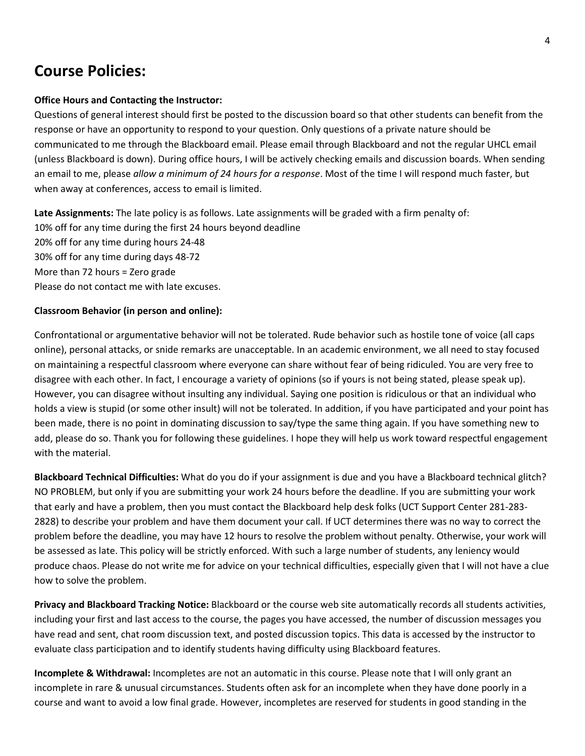# **Course Policies:**

#### **Office Hours and Contacting the Instructor:**

Questions of general interest should first be posted to the discussion board so that other students can benefit from the response or have an opportunity to respond to your question. Only questions of a private nature should be communicated to me through the Blackboard email. Please email through Blackboard and not the regular UHCL email (unless Blackboard is down). During office hours, I will be actively checking emails and discussion boards. When sending an email to me, please *allow a minimum of 24 hours for a response*. Most of the time I will respond much faster, but when away at conferences, access to email is limited.

**Late Assignments:** The late policy is as follows. Late assignments will be graded with a firm penalty of: 10% off for any time during the first 24 hours beyond deadline 20% off for any time during hours 24-48 30% off for any time during days 48-72 More than 72 hours = Zero grade Please do not contact me with late excuses.

#### **Classroom Behavior (in person and online):**

Confrontational or argumentative behavior will not be tolerated. Rude behavior such as hostile tone of voice (all caps online), personal attacks, or snide remarks are unacceptable. In an academic environment, we all need to stay focused on maintaining a respectful classroom where everyone can share without fear of being ridiculed. You are very free to disagree with each other. In fact, I encourage a variety of opinions (so if yours is not being stated, please speak up). However, you can disagree without insulting any individual. Saying one position is ridiculous or that an individual who holds a view is stupid (or some other insult) will not be tolerated. In addition, if you have participated and your point has been made, there is no point in dominating discussion to say/type the same thing again. If you have something new to add, please do so. Thank you for following these guidelines. I hope they will help us work toward respectful engagement with the material.

**Blackboard Technical Difficulties:** What do you do if your assignment is due and you have a Blackboard technical glitch? NO PROBLEM, but only if you are submitting your work 24 hours before the deadline. If you are submitting your work that early and have a problem, then you must contact the Blackboard help desk folks (UCT Support Center 281-283- 2828) to describe your problem and have them document your call. If UCT determines there was no way to correct the problem before the deadline, you may have 12 hours to resolve the problem without penalty. Otherwise, your work will be assessed as late. This policy will be strictly enforced. With such a large number of students, any leniency would produce chaos. Please do not write me for advice on your technical difficulties, especially given that I will not have a clue how to solve the problem.

**Privacy and Blackboard Tracking Notice:** Blackboard or the course web site automatically records all students activities, including your first and last access to the course, the pages you have accessed, the number of discussion messages you have read and sent, chat room discussion text, and posted discussion topics. This data is accessed by the instructor to evaluate class participation and to identify students having difficulty using Blackboard features.

**Incomplete & Withdrawal:** Incompletes are not an automatic in this course. Please note that I will only grant an incomplete in rare & unusual circumstances. Students often ask for an incomplete when they have done poorly in a course and want to avoid a low final grade. However, incompletes are reserved for students in good standing in the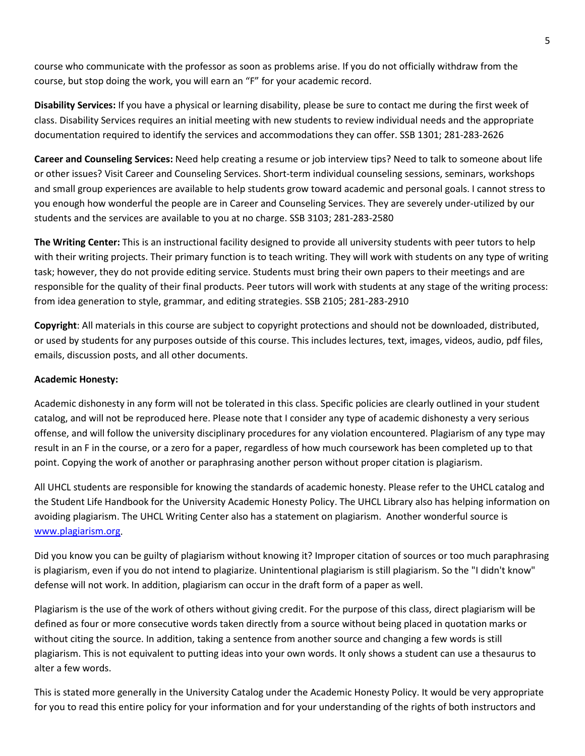course who communicate with the professor as soon as problems arise. If you do not officially withdraw from the course, but stop doing the work, you will earn an "F" for your academic record.

**Disability Services:** If you have a physical or learning disability, please be sure to contact me during the first week of class. Disability Services requires an initial meeting with new students to review individual needs and the appropriate documentation required to identify the services and accommodations they can offer. SSB 1301; 281-283-2626

**Career and Counseling Services:** Need help creating a resume or job interview tips? Need to talk to someone about life or other issues? Visit Career and Counseling Services. Short-term individual counseling sessions, seminars, workshops and small group experiences are available to help students grow toward academic and personal goals. I cannot stress to you enough how wonderful the people are in Career and Counseling Services. They are severely under-utilized by our students and the services are available to you at no charge. SSB 3103; 281-283-2580

**The Writing Center:** This is an instructional facility designed to provide all university students with peer tutors to help with their writing projects. Their primary function is to teach writing. They will work with students on any type of writing task; however, they do not provide editing service. Students must bring their own papers to their meetings and are responsible for the quality of their final products. Peer tutors will work with students at any stage of the writing process: from idea generation to style, grammar, and editing strategies. SSB 2105; 281-283-2910

**Copyright**: All materials in this course are subject to copyright protections and should not be downloaded, distributed, or used by students for any purposes outside of this course. This includes lectures, text, images, videos, audio, pdf files, emails, discussion posts, and all other documents.

#### **Academic Honesty:**

Academic dishonesty in any form will not be tolerated in this class. Specific policies are clearly outlined in your student catalog, and will not be reproduced here. Please note that I consider any type of academic dishonesty a very serious offense, and will follow the university disciplinary procedures for any violation encountered. Plagiarism of any type may result in an F in the course, or a zero for a paper, regardless of how much coursework has been completed up to that point. Copying the work of another or paraphrasing another person without proper citation is plagiarism.

All UHCL students are responsible for knowing the standards of academic honesty. Please refer to the UHCL catalog and the Student Life Handbook for the University Academic Honesty Policy. The UHCL Library also has helping information on avoiding plagiarism. The UHCL Writing Center also has a statement on plagiarism. Another wonderful source is [www.plagiarism.org.](http://www.plagiarism.org/)

Did you know you can be guilty of plagiarism without knowing it? Improper citation of sources or too much paraphrasing is plagiarism, even if you do not intend to plagiarize. Unintentional plagiarism is still plagiarism. So the "I didn't know" defense will not work. In addition, plagiarism can occur in the draft form of a paper as well.

Plagiarism is the use of the work of others without giving credit. For the purpose of this class, direct plagiarism will be defined as four or more consecutive words taken directly from a source without being placed in quotation marks or without citing the source. In addition, taking a sentence from another source and changing a few words is still plagiarism. This is not equivalent to putting ideas into your own words. It only shows a student can use a thesaurus to alter a few words.

This is stated more generally in the University Catalog under the Academic Honesty Policy. It would be very appropriate for you to read this entire policy for your information and for your understanding of the rights of both instructors and